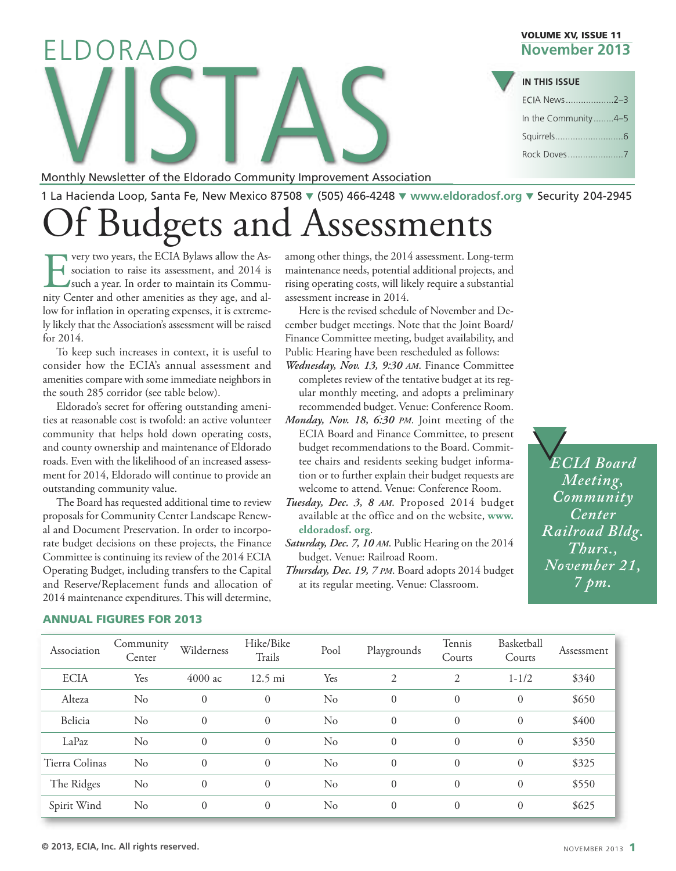Monthly Newsletter of the Eldorado Community Improvement Association

1 La Hacienda Loop, Santa Fe, New Mexico 87508 q (505) 466-4248 q **[www.eldoradosf.org](http://www.eldoradosf.org)** q Security 204-2945

# Of Budgets and Assessments

**EVALUATE:** very two years, the ECIA Bylaws allow the Association to raise its assessment, and 2014 is such a year. In order to maintain its Community Center and other amenities as they age, and alsociation to raise its assessment, and 2014 is such a year. In order to maintain its Community Center and other amenities as they age, and allow for inflation in operating expenses, it is extremely likely that the Association's assessment will be raised for 2014.

To keep such increases in context, it is useful to consider how the ECIA's annual assessment and amenities compare with some immediate neighbors in the south 285 corridor (see table below).

Eldorado's secret for offering outstanding amenities at reasonable cost is twofold: an active volunteer community that helps hold down operating costs, and county ownership and maintenance of Eldorado roads. Even with the likelihood of an increased assessment for 2014, Eldorado will continue to provide an outstanding community value.

The Board has requested additional time to review proposals for Community Center Landscape Renewal and Document Preservation. In order to incorporate budget decisions on these projects, the Finance Committee is continuing its review of the 2014 ECIA Operating Budget, including transfers to the Capital and Reserve/Replacement funds and allocation of 2014 maintenance expenditures.This will determine,

among other things, the 2014 assessment. Long-term maintenance needs, potential additional projects, and rising operating costs, will likely require a substantial assessment increase in 2014.

Here is the revised schedule of November and December budget meetings. Note that the Joint Board/ Finance Committee meeting, budget availability, and Public Hearing have been rescheduled as follows:

- *Wednesday, Nov. 13, 9:30 AM*. Finance Committee completes review of the tentative budget at its regular monthly meeting, and adopts a preliminary recommended budget. Venue: Conference Room.
- *Monday, Nov. 18, 6:30 PM*. Joint meeting of the ECIA Board and Finance Committee, to present budget recommendations to the Board. Committee chairs and residents seeking budget information or to further explain their budget requests are welcome to attend. Venue: Conference Room.
- *Tuesday, Dec. 3, 8 AM*. Proposed 2014 [budget](http://www.eldoradosf.org) available at the office and on the website, **www. [eldoradosf.](http://www.eldoradosf.org) org**.
- *Saturday, Dec. 7, 10 AM*. Public Hearing on the 2014 budget. Venue: Railroad Room.
- *Thursday, Dec. 19, 7 PM*. Board adopts 2014 budget at its regular meeting. Venue: Classroom.

*ECIA Board* q q *Meeting, Community Center Railroad Bldg. Thurs., November 21, 7 pm.*



#### **ANNUAL FIGURES FOR 2013**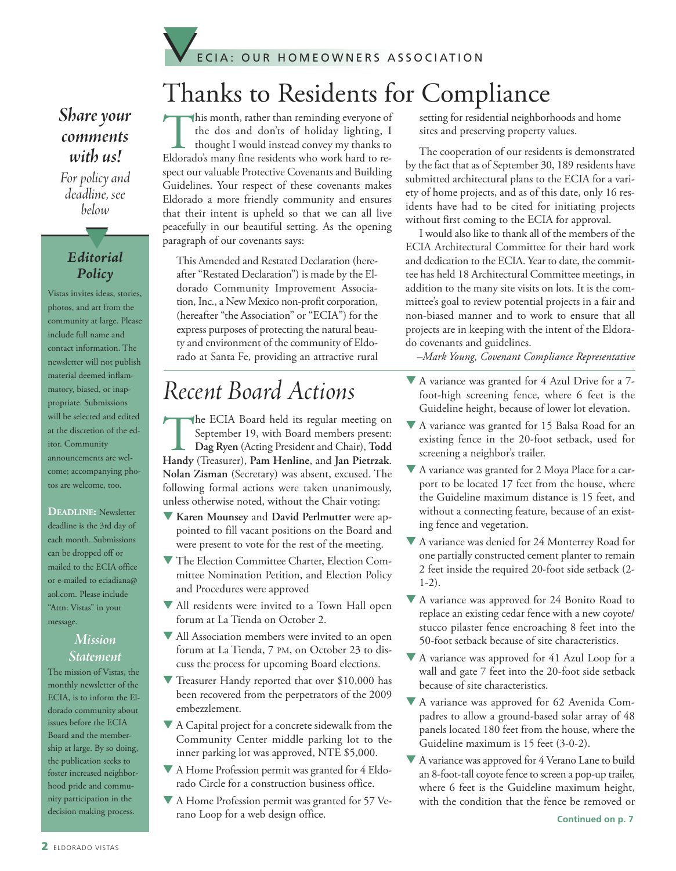

### *Share* your *comments with us!*

*For policy and deadline, see below*

### *Editorial Policy*

t

Vistas invites ideas, stories, photos, and art from the community at large. Please include full name and contact information. The newsletter will not publish material deemed inflammatory, biased, or inappropriate. Submissions will be selected and edited at the discretion of the editor. Community announcements are welcome; accompanying photos are welcome, too.

**DEADLINE:** Newsletter deadline is the 3rd day of each month. Submissions can be dropped off or mailed to the ECIA office or e-mailed to eciadiana@ aol.com. Please include "Attn: Vistas" in your message.

#### *Mission Statement*

The mission of Vistas, the monthly newsletter of the ECIA, is to inform the Eldorado community about issues before the ECIA Board and the membership at large. By so doing, the publication seeks to foster increased neighborhood pride and community participation in the decision making process.

This month, rather than reminding everyone of the dos and don'ts of holiday lighting, I thought I would instead convey my thanks to Eldorado's many fine residents who work hard to respect our valuable Protective Covenants and Building Guidelines. Your respect of these covenants makes Eldorado a more friendly community and ensures that their intent is upheld so that we can all live peacefully in our beautiful setting. As the opening paragraph of our covenants says: Thanks to Residents for Compliance

This Amended and Restated Declaration (hereafter "Restated Declaration") is made by the Eldorado Community Improvement Association, Inc., a New Mexico non-profit corporation, (hereafter "the Association" or "ECIA") for the express purposes of protecting the natural beauty and environment of the community of Eldorado at Santa Fe, providing an attractive rural

# *Recent Board Actions*

The ECIA Board held its regular meeting on<br>September 19, with Board members present:<br>Dag Ryen (Acting President and Chair), Todd<br>Handy (Treasurer). Pam Henline, and Ian Pietrzak. September 19, with Board members present: **Dag Ryen** (Acting President and Chair), **Todd Handy** (Treasurer), **Pam Henline**, and **Jan Pietrzak**. **Nolan Zisman** (Secretary) was absent, excused. The following formal actions were taken unanimously, unless otherwise noted, without the Chair voting:

- q **Karen Mounsey** and **David Perlmutter** were appointed to fill vacant positions on the Board and were present to vote for the rest of the meeting.
- $\nabla$  The Election Committee Charter, Election Committee Nomination Petition, and Election Policy and Procedures were approved
- All residents were invited to a Town Hall open forum at La Tienda on October 2.
- All Association members were invited to an open forum at La Tienda, 7 PM, on October 23 to discuss the process for upcoming Board elections.
- Treasurer Handy reported that over \$10,000 has been recovered from the perpetrators of the 2009 embezzlement.
- $\nabla$  A Capital project for a concrete sidewalk from the Community Center middle parking lot to the inner parking lot was approved, NTE \$5,000.
- A Home Profession permit was granted for 4 Eldorado Circle for a construction business office.
- A Home Profession permit was granted for 57 Verano Loop for a web design office.

setting for residential neighborhoods and home sites and preserving property values.

The cooperation of our residents is demonstrated by the fact that as of September 30, 189 residents have submitted architectural plans to the ECIA for a variety of home projects, and as of this date, only 16 residents have had to be cited for initiating projects without first coming to the ECIA for approval.

I would also like to thank all of the members of the ECIA Architectural Committee for their hard work and dedication to the ECIA. Year to date, the committee has held 18 Architectural Committee meetings, in addition to the many site visits on lots. It is the committee's goal to review potential projects in a fair and non-biased manner and to work to ensure that all projects are in keeping with the intent of the Eldorado covenants and guidelines.

*–Mark Young, Covenant Compliance Representative*

- $\nabla$  A variance was granted for 4 Azul Drive for a 7foot-high screening fence, where 6 feet is the Guideline height, because of lower lot elevation.
- $\nabla$  A variance was granted for 15 Balsa Road for an existing fence in the 20-foot setback, used for screening a neighbor's trailer.
- $\nabla$  A variance was granted for 2 Moya Place for a carport to be located 17 feet from the house, where the Guideline maximum distance is 15 feet, and without a connecting feature, because of an existing fence and vegetation.
- $\nabla$  A variance was denied for 24 Monterrey Road for one partially constructed cement planter to remain 2 feet inside the required 20-foot side setback (2- 1-2).
- ▼ A variance was approved for 24 Bonito Road to replace an existing cedar fence with a new coyote/ stucco pilaster fence encroaching 8 feet into the 50-foot setback because of site characteristics.
- $\nabla$  A variance was approved for 41 Azul Loop for a wall and gate 7 feet into the 20-foot side setback because of site characteristics.
- $\nabla$  A variance was approved for 62 Avenida Compadres to allow a ground-based solar array of 48 panels located 180 feet from the house, where the Guideline maximum is 15 feet (3-0-2).
- $\nabla$  A variance was approved for 4 Verano Lane to build an 8-foot-tall coyote fence to screen a pop-up trailer, where 6 feet is the Guideline maximum height, with the condition that the fence be removed or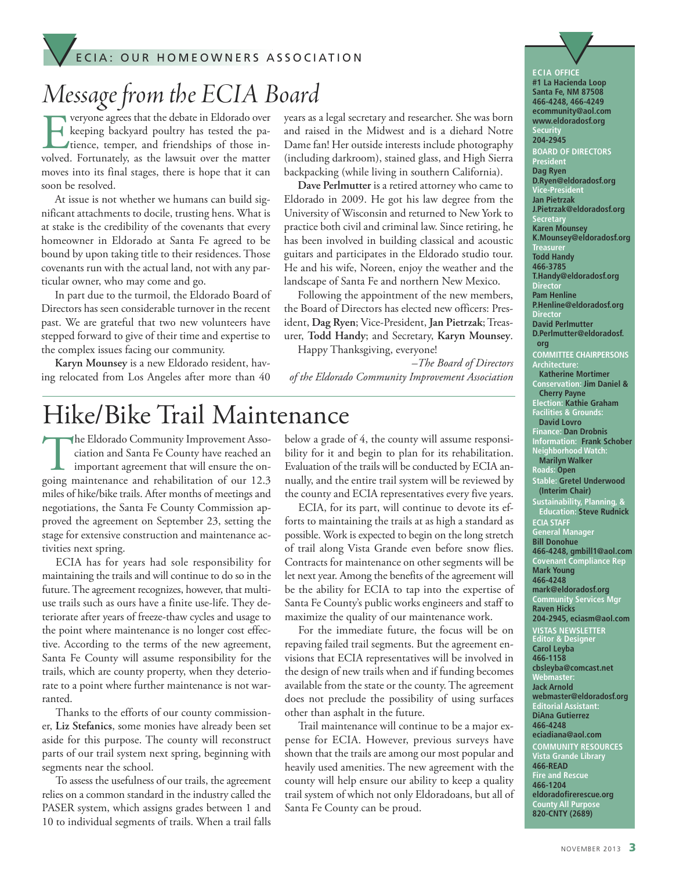## E C I A : OUR HOMEOWNERS ASSOCIATION ECIA: OUR HOMEOWNERS ASSOCIATION

## *Message from the ECIA Board*

Everyone agrees that the debate in Eldorado over<br>
keeping backyard poultry has tested the pa-<br>
tience, temper, and friendships of those in-<br>
volved. Fortunately, as the lawsuit over the matter keeping backyard poultry has tested the patience, temper, and friendships of those involved. Fortunately, as the lawsuit over the matter moves into its final stages, there is hope that it can soon be resolved.

At issue is not whether we humans can build significant attachments to docile, trusting hens. What is at stake is the credibility of the covenants that every homeowner in Eldorado at Santa Fe agreed to be bound by upon taking title to their residences. Those covenants run with the actual land, not with any particular owner, who may come and go.

In part due to the turmoil, the Eldorado Board of Directors has seen considerable turnover in the recent past. We are grateful that two new volunteers have stepped forward to give of their time and expertise to the complex issues facing our community.

**Karyn Mounsey** is a new Eldorado resident, having relocated from Los Angeles after more than 40 years as a legal secretary and researcher. She was born and raised in the Midwest and is a diehard Notre Dame fan! Her outside interests include photography (including darkroom), stained glass, and High Sierra backpacking (while living in southern California).

**Dave Perlmutter** is a retired attorney who came to Eldorado in 2009. He got his law degree from the University of Wisconsin and returned to New York to practice both civil and criminal law. Since retiring, he has been involved in building classical and acoustic guitars and participates in the Eldorado studio tour. He and his wife, Noreen, enjoy the weather and the landscape of Santa Fe and northern New Mexico.

Following the appointment of the new members, the Board of Directors has elected new officers: President, **Dag Ryen**; Vice-President, **Jan Pietrzak**;Treasurer, **Todd Handy**; and Secretary, **Karyn Mounsey**. Happy Thanksgiving, everyone!

*–The Board of Directors*

*of the Eldorado Community Improvement Association*

## Hike/Bike Trail Maintenance

The Eldorado Community Improvement Association and Santa Fe County have reached an important agreement that will ensure the on-<br>poing maintenance and rehabilitation of our 12.3 ciation and Santa Fe County have reached an important agreement that will ensure the ongoing maintenance and rehabilitation of our 12.3 miles of hike/bike trails. After months of meetings and negotiations, the Santa Fe County Commission approved the agreement on September 23, setting the stage for extensive construction and maintenance activities next spring.

ECIA has for years had sole responsibility for maintaining the trails and will continue to do so in the future.The agreement recognizes, however, that multiuse trails such as ours have a finite use-life. They deteriorate after years of freeze-thaw cycles and usage to the point where maintenance is no longer cost effective. According to the terms of the new agreement, Santa Fe County will assume responsibility for the trails, which are county property, when they deteriorate to a point where further maintenance is not warranted.

Thanks to the efforts of our county commissioner, **Liz Stefanics**, some monies have already been set aside for this purpose. The county will reconstruct parts of our trail system next spring, beginning with segments near the school.

To assess the usefulness of our trails, the agreement relies on a common standard in the industry called the PASER system, which assigns grades between 1 and 10 to individual segments of trails. When a trail falls

below a grade of 4, the county will assume responsibility for it and begin to plan for its rehabilitation. Evaluation of the trails will be conducted by ECIA annually, and the entire trail system will be reviewed by the county and ECIA representatives every five years.

ECIA, for its part, will continue to devote its efforts to maintaining the trails at as high a standard as possible. Work is expected to begin on the long stretch of trail along Vista Grande even before snow flies. Contracts for maintenance on other segments will be let next year. Among the benefits of the agreement will be the ability for ECIA to tap into the expertise of Santa Fe County's public works engineers and staff to maximize the quality of our maintenance work.

For the immediate future, the focus will be on repaving failed trail segments. But the agreement envisions that ECIA representatives will be involved in the design of new trails when and if funding becomes available from the state or the county. The agreement does not preclude the possibility of using surfaces other than asphalt in the future.

Trail maintenance will continue to be a major expense for ECIA. However, previous surveys have shown that the trails are among our most popular and heavily used amenities. The new agreement with the county will help ensure our ability to keep a quality trail system of which not only Eldoradoans, but all of Santa Fe County can be proud.

**ECIA OFFICE #1 La Hacienda Loop Santa Fe, NM 87508 466-4248, 466-4249 ecommunity@aol.com www.eldoradosf.org Security 204-2945 BOARD OF DIRECTORS President Dag Ryen D.Ryen@eldoradosf.org Vice-President Jan Pietrzak J.Pietrzak@eldoradosf.org ecreta Karen Mounsey K.Mounsey@eldoradosf.org Treasurer Todd Handy 466-3785 T.Handy@eldoradosf.org Directo Pam Henline P.Henline@eldoradosf.org Director David Perlmutter D.Perlmutter@eldoradosf. org COMMITTEE CHAIRPERSONS Architecture: Katherine Mortimer Conservation: Jim Daniel & Cherry Payne Election: Kathie Graham Facilities & Grounds: David Lovro Finance: Dan Drobnis Information: Frank Schober Neighborhood Watch: Marilyn Walker Roads: Open Stable: Gretel Underwood (Interim Chair) Sustainability, Planning, & Education: Steve Rudnick ECIA STAFF General Manager Bill Donohue 466-4248, gmbill1@aol.com Covenant Compliance Rep Mark Young 466-4248 mark@eldoradosf.org Community Services Mgr Raven Hicks 204-2945, eciasm@aol.com VISTAS NEWSLETTER Editor & Designer Carol Leyba 466-1158 cbsleyba@comcast.net Webmaster: Jack Arnold webmaster@eldoradosf.org Editorial Assistant: DiAna Gutierrez 466-4248 eciadiana@aol.com COMMUNITY RESOURCES Vista Grande Library 466-READ Fire and Rescue 466-1204 eldoradofirerescue.org County All Purpose 820-CNTY (2689)**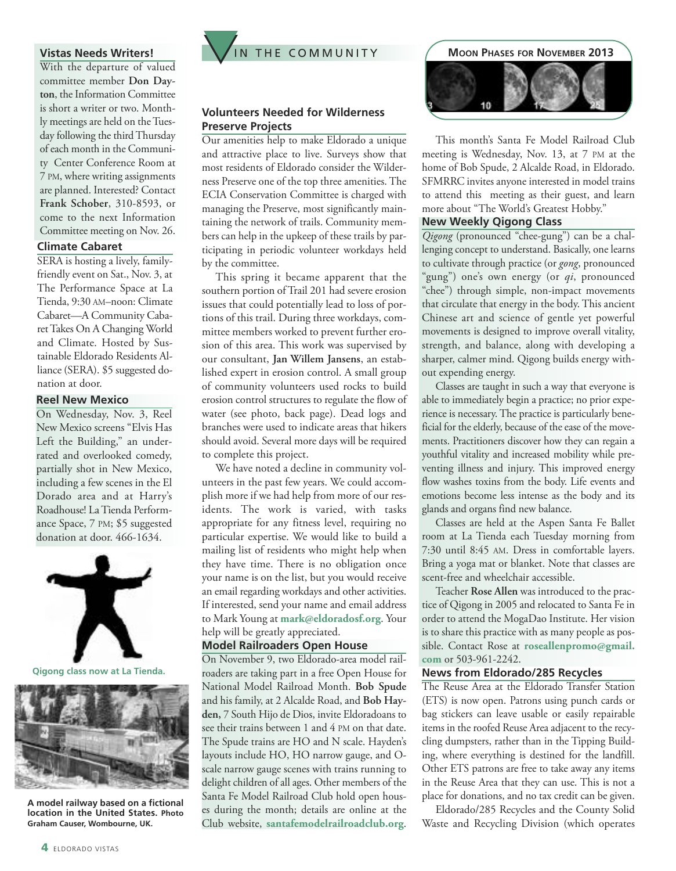#### **Vistas Needs Writers!**

With the departure of valued committee member Don Day**ton**, the Information Committee is short a writer or two. Monthly meetings are held on theTuesday following the thirdThursday of each month in the Community Center Conference Room at 7 PM, where writing assignments are planned. Interested? Contact **Frank Schober**, 310-8593, or come to the next Information Committee meeting on Nov. 26.

#### **Climate Cabaret**

SERA is hosting a lively, familyfriendly event on Sat., Nov. 3, at The Performance Space at La Tienda, 9:30 AM–noon: Climate Cabaret—A Community CabaretTakes On A Changing World and Climate. Hosted by Sustainable Eldorado Residents Alliance (SERA). \$5 suggested donation at door.

#### **Reel New Mexico**

On Wednesday, Nov. 3, Reel New Mexico screens "Elvis Has Left the Building," an underrated and overlooked comedy, partially shot in New Mexico, including a few scenes in the El Dorado area and at Harry's Roadhouse! LaTienda Performance Space, 7 PM; \$5 suggested donation at door. 466-1634.



**Qigong class now at La Tienda.**



**A model railway based on a fictional location in the United States. Photo Graham Causer, Wombourne, UK.**



#### **Volunteers Needed for Wilderness Preserve Projects**

Our amenities help to make Eldorado a unique and attractive place to live. Surveys show that most residents of Eldorado consider the Wilderness Preserve one of the top three amenities. The ECIA Conservation Committee is charged with managing the Preserve, most significantly maintaining the network of trails. Community members can help in the upkeep of these trails by participating in periodic volunteer workdays held by the committee.

This spring it became apparent that the southern portion of Trail 201 had severe erosion issues that could potentially lead to loss of portions of this trail. During three workdays, committee members worked to prevent further erosion of this area. This work was supervised by our consultant, **Jan Willem Jansens**, an established expert in erosion control. A small group of community volunteers used rocks to build erosion control structures to regulate the flow of water (see photo, back page). Dead logs and branches were used to indicate areas that hikers should avoid. Several more days will be required to complete this project.

We have noted a decline in community volunteers in the past few years. We could accomplish more if we had help from more of our residents. The work is varied, with tasks appropriate for any fitness level, requiring no particular expertise. We would like to build a mailing list of residents who might help when they have time. There is no obligation once your name is on the list, but you would receive an email regarding workdays and other activities. If interested, send your name and email address to Mark Young at **mark@eldoradosf.org**. Your help will be greatly appreciated.

#### **Model Railroaders Open House**

On November 9, two Eldorado-area model railroaders are taking part in a free Open House for National Model Railroad Month. **Bob Spude** and his family, at 2 Alcalde Road, and **Bob Hayden,** 7 South Hijo de Dios, invite Eldoradoans to see their trains between 1 and 4 PM on that date. The Spude trains are HO and N scale. Hayden's layouts include HO, HO narrow gauge, and Oscale narrow gauge scenes with trains running to delight children of all ages. Other members of the Santa Fe Model Railroad Club hold open houses during the month; details are online at the Club website, **santafemodelrailroadclub.org**.



This month's Santa Fe Model Railroad Club meeting is Wednesday, Nov. 13, at 7 PM at the home of Bob Spude, 2 Alcalde Road, in Eldorado. SFMRRC invites anyone interested in model trains to attend this meeting as their guest, and learn more about "The World's Greatest Hobby."

#### **New Weekly Qigong Class**

*Qigong* (pronounced "chee-gung") can be a challenging concept to understand. Basically, one learns to cultivate through practice (or *gong*, pronounced "gung") one's own energy (or *qi*, pronounced "chee") through simple, non-impact movements that circulate that energy in the body. This ancient Chinese art and science of gentle yet powerful movements is designed to improve overall vitality, strength, and balance, along with developing a sharper, calmer mind. Qigong builds energy without expending energy.

Classes are taught in such a way that everyone is able to immediately begin a practice; no prior experience is necessary.The practice is particularly beneficial for the elderly, because of the ease of the movements. Practitioners discover how they can regain a youthful vitality and increased mobility while preventing illness and injury. This improved energy flow washes toxins from the body. Life events and emotions become less intense as the body and its glands and organs find new balance.

Classes are held at the Aspen Santa Fe Ballet room at La Tienda each Tuesday morning from 7:30 until 8:45 AM. Dress in comfortable layers. Bring a yoga mat or blanket. Note that classes are scent-free and wheelchair accessible.

Teacher **Rose Allen** was introduced to the practice of Qigong in 2005 and relocated to Santa Fe in order to attend the MogaDao Institute. Her vision is to share this practice with as many people as possible. Contact Rose at **roseallenpromo@gmail. com** or 503-961-2242.

#### **News from Eldorado/285 Recycles**

The Reuse Area at the Eldorado Transfer Station (ETS) is now open. Patrons using punch cards or bag stickers can leave usable or easily repairable items in the roofed Reuse Area adjacent to the recycling dumpsters, rather than in the Tipping Building, where everything is destined for the landfill. Other ETS patrons are free to take away any items in the Reuse Area that they can use. This is not a place for donations, and no tax credit can be given.

Eldorado/285 Recycles and the County Solid Waste and Recycling Division (which operates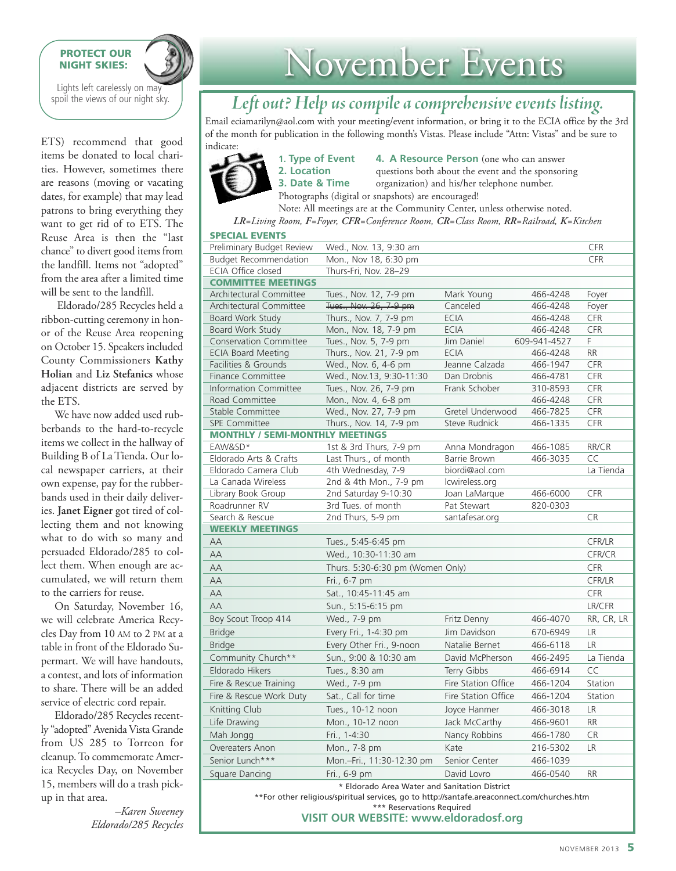#### **PROTECT OUR NIGHT SKIES:**

Lights left carelessly on may spoil the views of our night sky.

ETS) recommend that good items be donated to local charities. However, sometimes there are reasons (moving or vacating dates, for example) that may lead patrons to bring everything they want to get rid of to ETS. The Reuse Area is then the "last chance" to divert good items from the landfill. Items not "adopted" from the area after a limited time will be sent to the landfill.

Eldorado/285 Recycles held a ribbon-cutting ceremony in honor of the Reuse Area reopening on October 15. Speakers included County Commissioners **Kathy Holian** and **Liz Stefanics** whose adjacent districts are served by the ETS.

We have now added used rubberbands to the hard-to-recycle items we collect in the hallway of Building B of La Tienda. Our local newspaper carriers, at their own expense, pay for the rubberbands used in their daily deliveries. **Janet Eigner** got tired of collecting them and not knowing what to do with so many and persuaded Eldorado/285 to collect them. When enough are accumulated, we will return them to the carriers for reuse.

On Saturday, November 16, we will celebrate America Recycles Day from 10 AM to 2 PM at a table in front of the Eldorado Supermart. We will have handouts, a contest, and lots of information to share. There will be an added service of electric cord repair.

Eldorado/285 Recycles recently "adopted" Avenida Vista Grande from US 285 to Torreon for cleanup.To commemorate America Recycles Day, on November 15, members will do a trash pickup in that area.

> *–Karen Sweeney Eldorado/285 Recycles*

# November Events

## *Leftout? Help us compileacomprehensive events listing.*

Email eciamarilyn@aol.com with your meeting/event information, or bring it to the ECIA office by the 3rd of the month for publication in the following month's Vistas. Please include "Attn: Vistas" and be sure to indicate:



**1. Type of Event 4. A Resource Person** (one who can answer Photographs (digital or snapshots) are encouraged!

**2. Location** questions both about the event and the sponsoring **3. Date & Time** organization) and his/her telephone number.

Note: All meetings are at the Community Center, unless otherwise noted. *LR=Living Room, F=Foyer, CFR=Conference Room, CR=Class Room, RR=Railroad, K=Kitchen*

|                                        | $\text{Ln} = \text{Liping}$ Noom, $\text{L} = \text{Lipq}$ , $\text{C}\text{L}\text{R} = \text{Cop}(n)$ Noom, $\text{C}\text{R} = \text{Cans}$ Noom, $\text{R}\text{C} = \text{Rum}(n)$ |                     |              |               |
|----------------------------------------|-----------------------------------------------------------------------------------------------------------------------------------------------------------------------------------------|---------------------|--------------|---------------|
| <b>SPECIAL EVENTS</b>                  |                                                                                                                                                                                         |                     |              |               |
| Preliminary Budget Review              | Wed., Nov. 13, 9:30 am                                                                                                                                                                  |                     |              | CFR           |
| <b>Budget Recommendation</b>           | Mon., Nov 18, 6:30 pm                                                                                                                                                                   |                     |              | CFR           |
| ECIA Office closed                     | Thurs-Fri, Nov. 28-29                                                                                                                                                                   |                     |              |               |
| <b>COMMITTEE MEETINGS</b>              |                                                                                                                                                                                         |                     |              |               |
| <b>Architectural Committee</b>         | Tues., Nov. 12, 7-9 pm                                                                                                                                                                  | Mark Young          | 466-4248     | Foyer         |
| Architectural Committee                | Tues., Nov. 26, 7-9 pm                                                                                                                                                                  | Canceled            | 466-4248     | Foyer         |
| Board Work Study                       | Thurs., Nov. 7, 7-9 pm                                                                                                                                                                  | <b>ECIA</b>         | 466-4248     | CFR           |
| Board Work Study                       | Mon., Nov. 18, 7-9 pm                                                                                                                                                                   | <b>ECIA</b>         | 466-4248     | CFR           |
| <b>Conservation Committee</b>          | Tues., Nov. 5, 7-9 pm                                                                                                                                                                   | Jim Daniel          | 609-941-4527 | F             |
| <b>ECIA Board Meeting</b>              | Thurs., Nov. 21, 7-9 pm                                                                                                                                                                 | <b>ECIA</b>         | 466-4248     | <b>RR</b>     |
| Facilities & Grounds                   | Wed., Nov. 6, 4-6 pm                                                                                                                                                                    | Jeanne Calzada      | 466-1947     | CFR           |
| <b>Finance Committee</b>               | Wed., Nov.13, 9:30-11:30                                                                                                                                                                | Dan Drobnis         | 466-4781     | CFR           |
| <b>Information Committee</b>           | Tues., Nov. 26, 7-9 pm                                                                                                                                                                  | Frank Schober       | 310-8593     | CFR           |
| Road Committee                         | Mon., Nov. 4, 6-8 pm                                                                                                                                                                    |                     | 466-4248     | CFR           |
| Stable Committee                       | Wed., Nov. 27, 7-9 pm                                                                                                                                                                   | Gretel Underwood    | 466-7825     | CFR           |
| <b>SPE Committee</b>                   | Thurs., Nov. 14, 7-9 pm                                                                                                                                                                 | Steve Rudnick       | 466-1335     | CFR           |
| <b>MONTHLY / SEMI-MONTHLY MEETINGS</b> |                                                                                                                                                                                         |                     |              |               |
| EAW&SD*                                | 1st & 3rd Thurs, 7-9 pm                                                                                                                                                                 | Anna Mondragon      | 466-1085     | RR/CR         |
| Eldorado Arts & Crafts                 | Last Thurs., of month                                                                                                                                                                   | Barrie Brown        | 466-3035     | CC            |
| Eldorado Camera Club                   | 4th Wednesday, 7-9                                                                                                                                                                      | biordi@aol.com      |              | La Tienda     |
| La Canada Wireless                     | 2nd & 4th Mon., 7-9 pm                                                                                                                                                                  | lcwireless.org      |              |               |
| Library Book Group                     | 2nd Saturday 9-10:30                                                                                                                                                                    | Joan LaMarque       | 466-6000     | CFR           |
| Roadrunner RV                          | 3rd Tues. of month                                                                                                                                                                      | Pat Stewart         | 820-0303     |               |
| Search & Rescue                        | 2nd Thurs, 5-9 pm                                                                                                                                                                       | santafesar.org      |              | CR            |
| <b>WEEKLY MEETINGS</b>                 |                                                                                                                                                                                         |                     |              |               |
| AA                                     | Tues., 5:45-6:45 pm                                                                                                                                                                     |                     |              | CFR/LR        |
| AA                                     | Wed., 10:30-11:30 am                                                                                                                                                                    |                     |              | CFR/CR        |
| AA                                     | Thurs. 5:30-6:30 pm (Women Only)                                                                                                                                                        |                     |              | <b>CFR</b>    |
| AA                                     | Fri., 6-7 pm                                                                                                                                                                            |                     |              | <b>CFR/LR</b> |
| AA                                     | Sat., 10:45-11:45 am                                                                                                                                                                    |                     |              | CFR           |
| AA                                     | Sun., 5:15-6:15 pm                                                                                                                                                                      |                     |              | LR/CFR        |
| Boy Scout Troop 414                    | Wed., 7-9 pm                                                                                                                                                                            | Fritz Denny         | 466-4070     | RR, CR, LR    |
| <b>Bridge</b>                          | Every Fri., 1-4:30 pm                                                                                                                                                                   | Jim Davidson        | 670-6949     | LR            |
| <b>Bridge</b>                          | Every Other Fri., 9-noon                                                                                                                                                                | Natalie Bernet      | 466-6118     | LR.           |
| Community Church**                     | Sun., 9:00 & 10:30 am                                                                                                                                                                   | David McPherson     | 466-2495     | La Tienda     |
| Eldorado Hikers                        | Tues., 8:30 am                                                                                                                                                                          | Terry Gibbs         | 466-6914     | CC            |
| Fire & Rescue Training                 | Wed., 7-9 pm                                                                                                                                                                            | Fire Station Office | 466-1204     | Station       |
| Fire & Rescue Work Duty                | Sat., Call for time                                                                                                                                                                     | Fire Station Office | 466-1204     | Station       |
| Knitting Club                          | Tues., 10-12 noon                                                                                                                                                                       | Joyce Hanmer        | 466-3018     | LR            |

\* Eldorado Area Water and Sanitation District

\*\*For other religious/spiritual services, go to http://santafe.areaconnect.com/churches.htm \*\*\* Reservations Required

**VISIT OUR WEBSITE: [www.eldoradosf.org](http://www.eldoradosf.org)**

Life Drawing Mon., 10-12 noon Jack McCarthy 466-9601 RR Mah Jongg Fri., 1-4:30 Nancy Robbins 466-1780 CR Overeaters Anon Mon., 7-8 pm Kate 216-5302 LR Senior Lunch\*\*\* Mon.–Fri., 11:30-12:30 pm Senior Center 466-1039 Square Dancing **Fri., 6-9 pm** David Lovro **466-0540** RR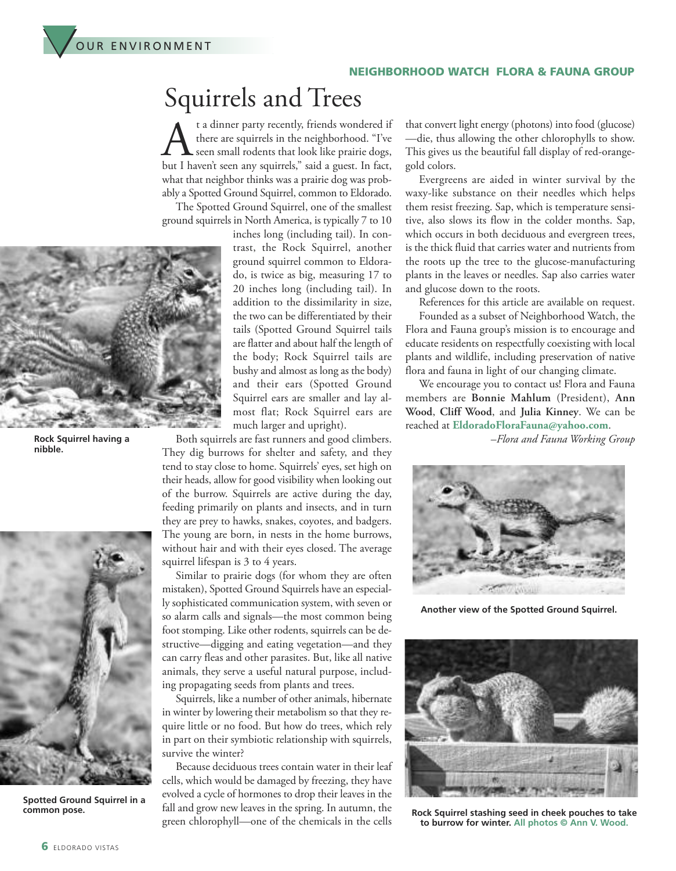

## Squirrels and Trees

A t a dinner party recently, friends wondered if<br>there are squirrels in the neighborhood. "I've<br>but I haven't seen any squirrels." said a guest. In fact. there are squirrels in the neighborhood. "I've seen small rodents that look like prairie dogs, but I haven't seen any squirrels," said a guest. In fact, what that neighbor thinks was a prairie dog was probably a Spotted Ground Squirrel, common to Eldorado.

The Spotted Ground Squirrel, one of the smallest ground squirrels in North America, is typically 7 to 10



OUR ENVIRONMENT

 $\bigvee$ 

 $\bigvee$ 

**Rock Squirrel having a nibble.**



**Spotted Ground Squirrel in a common pose.**

inches long (including tail). In contrast, the Rock Squirrel, another ground squirrel common to Eldorado, is twice as big, measuring 17 to 20 inches long (including tail). In addition to the dissimilarity in size, the two can be differentiated by their tails (Spotted Ground Squirrel tails are flatter and about half the length of the body; Rock Squirrel tails are bushy and almost as long as the body) and their ears (Spotted Ground Squirrel ears are smaller and lay almost flat; Rock Squirrel ears are much larger and upright).

Both squirrels are fast runners and good climbers. They dig burrows for shelter and safety, and they tend to stay close to home. Squirrels' eyes, set high on their heads, allow for good visibility when looking out of the burrow. Squirrels are active during the day, feeding primarily on plants and insects, and in turn they are prey to hawks, snakes, coyotes, and badgers. The young are born, in nests in the home burrows, without hair and with their eyes closed. The average squirrel lifespan is 3 to 4 years.

Similar to prairie dogs (for whom they are often mistaken), Spotted Ground Squirrels have an especially sophisticated communication system, with seven or so alarm calls and signals—the most common being foot stomping. Like other rodents, squirrels can be destructive—digging and eating vegetation—and they can carry fleas and other parasites. But, like all native animals, they serve a useful natural purpose, including propagating seeds from plants and trees.

Squirrels, like a number of other animals, hibernate in winter by lowering their metabolism so that they require little or no food. But how do trees, which rely in part on their symbiotic relationship with squirrels, survive the winter?

Because deciduous trees contain water in their leaf cells, which would be damaged by freezing, they have evolved a cycle of hormones to drop their leaves in the fall and grow new leaves in the spring. In autumn, the green chlorophyll—one of the chemicals in the cells

that convert light energy (photons) into food (glucose) —die, thus allowing the other chlorophylls to show. This gives us the beautiful fall display of red-orangegold colors.

Evergreens are aided in winter survival by the waxy-like substance on their needles which helps them resist freezing. Sap, which is temperature sensitive, also slows its flow in the colder months. Sap, which occurs in both deciduous and evergreen trees, is the thick fluid that carries water and nutrients from the roots up the tree to the glucose-manufacturing plants in the leaves or needles. Sap also carries water and glucose down to the roots.

References for this article are available on request. Founded as a subset of Neighborhood Watch, the Flora and Fauna group's mission is to encourage and educate residents on respectfully coexisting with local plants and wildlife, including preservation of native flora and fauna in light of our changing climate.

We encourage you to contact us! Flora and Fauna members are **Bonnie Mahlum** (President), **Ann Wood**, **Cliff Wood**, and **Julia Kinney**. We can be reached at **EldoradoFloraFauna@yahoo.com**.

–*Flora and Fauna Working Group*



**Another view of the Spotted Ground Squirrel.**



**Rock Squirrel stashing seed in cheek pouches to take to burrow for winter. All photos © Ann V. Wood.**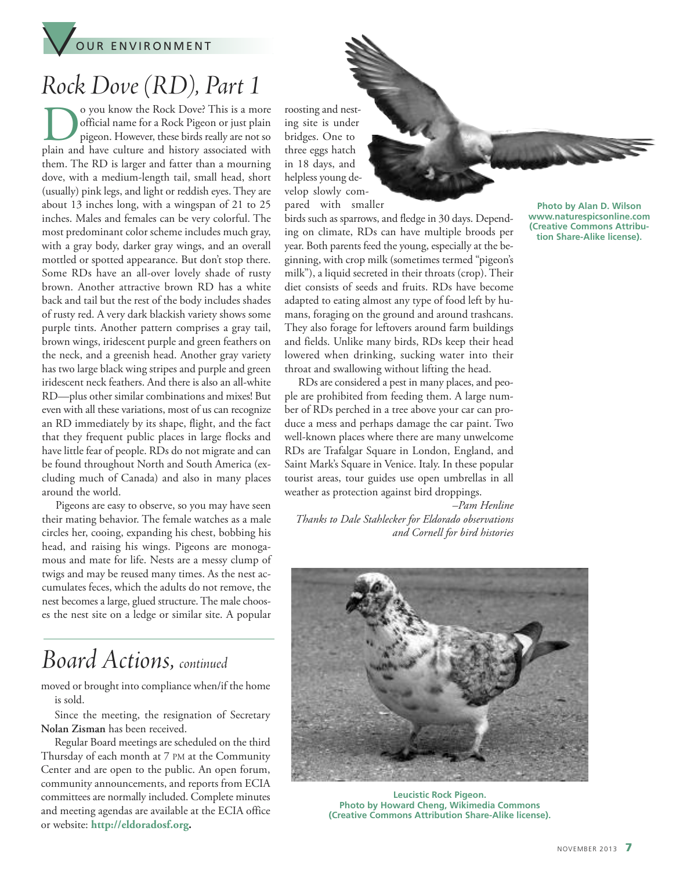

# *RockDove (RD), Part 1*

O you know the Rock Dove? This is a more<br>official name for a Rock Pigeon or just plain<br>pigeon. However, these birds really are not so<br>plain and have culture and history associated with official name for a Rock Pigeon or just plain pigeon. However, these birds really are not so plain and have culture and history associated with them. The RD is larger and fatter than a mourning dove, with a medium-length tail, small head, short (usually) pink legs, and light or reddish eyes.They are about 13 inches long, with a wingspan of 21 to 25 inches. Males and females can be very colorful. The most predominant color scheme includes much gray, with a gray body, darker gray wings, and an overall mottled or spotted appearance. But don't stop there. Some RDs have an all-over lovely shade of rusty brown. Another attractive brown RD has a white back and tail but the rest of the body includes shades of rusty red. A very dark blackish variety shows some purple tints. Another pattern comprises a gray tail, brown wings, iridescent purple and green feathers on the neck, and a greenish head. Another gray variety has two large black wing stripes and purple and green iridescent neck feathers. And there is also an all-white RD—plus other similar combinations and mixes! But even with all these variations, most of us can recognize an RD immediately by its shape, flight, and the fact that they frequent public places in large flocks and have little fear of people. RDs do not migrate and can be found throughout North and South America (excluding much of Canada) and also in many places around the world.

Pigeons are easy to observe, so you may have seen their mating behavior. The female watches as a male circles her, cooing, expanding his chest, bobbing his head, and raising his wings. Pigeons are monogamous and mate for life. Nests are a messy clump of twigs and may be reused many times. As the nest accumulates feces, which the adults do not remove, the nest becomes a large, glued structure.The male chooses the nest site on a ledge or similar site. A popular

## *Board Actions, continued*

moved or brought into compliance when/if the home is sold.

Since the meeting, the resignation of Secretary **Nolan Zisman** has been received.

Regular Board meetings are scheduled on the third Thursday of each month at 7 PM at the Community Center and are open to the public. An open forum, community announcements, and reports from ECIA committees are normally included. Complete minutes and meeting agendas are available at the ECIA office or website: **[http://eldoradosf.org.](http://www.eldoradosf.org)**

roosting and nesting site is under bridges. One to three eggs hatch in 18 days, and helpless young develop slowly compared with smaller

birds such as sparrows, and fledge in 30 days. Depending on climate, RDs can have multiple broods per year. Both parents feed the young, especially at the beginning, with crop milk (sometimes termed "pigeon's milk"), a liquid secreted in their throats (crop). Their diet consists of seeds and fruits. RDs have become adapted to eating almost any type of food left by humans, foraging on the ground and around trashcans. They also forage for leftovers around farm buildings and fields. Unlike many birds, RDs keep their head lowered when drinking, sucking water into their throat and swallowing without lifting the head.

RDs are considered a pest in many places, and people are prohibited from feeding them. A large number of RDs perched in a tree above your car can produce a mess and perhaps damage the car paint. Two well-known places where there are many unwelcome RDs are Trafalgar Square in London, England, and Saint Mark's Square in Venice. Italy. In these popular tourist areas, tour guides use open umbrellas in all weather as protection against bird droppings.

*–Pam Henline Thanks to Dale Stahlecker for Eldorado observations and Cornell for bird histories*



**Leucistic Rock Pigeon. Photo by Howard Cheng, Wikimedia Commons (Creative Commons Attribution Share-Alike license).**

**Photo by Alan D. Wilson www.naturespicsonline.com (Creative Commons Attribution Share-Alike license).**